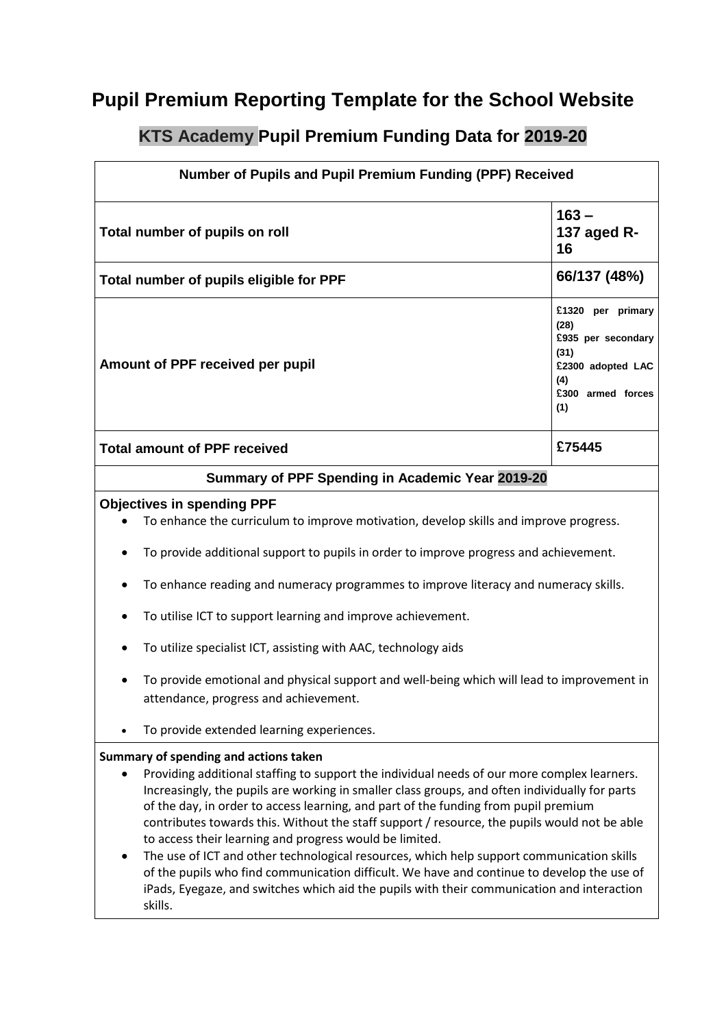## **Pupil Premium Reporting Template for the School Website**

## **KTS Academy Pupil Premium Funding Data for 2019-20**

| Number of Pupils and Pupil Premium Funding (PPF) Received                                                                                                                                                                                                                                                                                                                                                                     |                                                                                                                 |
|-------------------------------------------------------------------------------------------------------------------------------------------------------------------------------------------------------------------------------------------------------------------------------------------------------------------------------------------------------------------------------------------------------------------------------|-----------------------------------------------------------------------------------------------------------------|
| Total number of pupils on roll                                                                                                                                                                                                                                                                                                                                                                                                | $163 -$<br>137 aged R-<br>16                                                                                    |
| Total number of pupils eligible for PPF                                                                                                                                                                                                                                                                                                                                                                                       | 66/137 (48%)                                                                                                    |
| Amount of PPF received per pupil                                                                                                                                                                                                                                                                                                                                                                                              | £1320 per primary<br>(28)<br>£935 per secondary<br>(31)<br>£2300 adopted LAC<br>(4)<br>£300 armed forces<br>(1) |
| <b>Total amount of PPF received</b>                                                                                                                                                                                                                                                                                                                                                                                           | £75445                                                                                                          |
| Summary of PPF Spending in Academic Year 2019-20                                                                                                                                                                                                                                                                                                                                                                              |                                                                                                                 |
| <b>Objectives in spending PPF</b><br>To enhance the curriculum to improve motivation, develop skills and improve progress.<br>To provide additional support to pupils in order to improve progress and achievement.<br>$\bullet$                                                                                                                                                                                              |                                                                                                                 |
| To enhance reading and numeracy programmes to improve literacy and numeracy skills.                                                                                                                                                                                                                                                                                                                                           |                                                                                                                 |
| To utilise ICT to support learning and improve achievement.                                                                                                                                                                                                                                                                                                                                                                   |                                                                                                                 |
| To utilize specialist ICT, assisting with AAC, technology aids                                                                                                                                                                                                                                                                                                                                                                |                                                                                                                 |
| To provide emotional and physical support and well-being which will lead to improvement in<br>attendance, progress and achievement.                                                                                                                                                                                                                                                                                           |                                                                                                                 |
| To provide extended learning experiences.                                                                                                                                                                                                                                                                                                                                                                                     |                                                                                                                 |
| Summary of spending and actions taken<br>Providing additional staffing to support the individual needs of our more complex learners.<br>Increasingly, the pupils are working in smaller class groups, and often individually for parts<br>of the day, in order to access learning, and part of the funding from pupil premium<br>contributes towards this. Without the staff support / resource, the pupils would not be able |                                                                                                                 |

to access their learning and progress would be limited. • The use of ICT and other technological resources, which help support communication skills of the pupils who find communication difficult. We have and continue to develop the use of iPads, Eyegaze, and switches which aid the pupils with their communication and interaction skills.